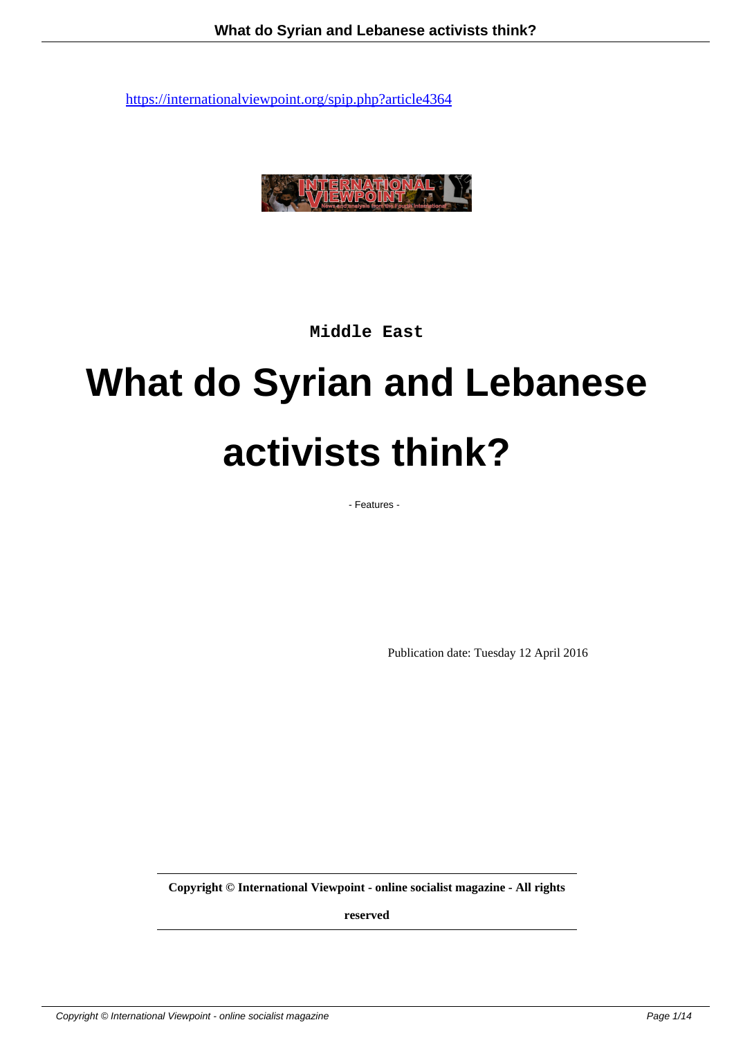

**Middle East**

# **What do Syrian and Lebanese activists think?**

- Features -

Publication date: Tuesday 12 April 2016

**Copyright © International Viewpoint - online socialist magazine - All rights**

**reserved**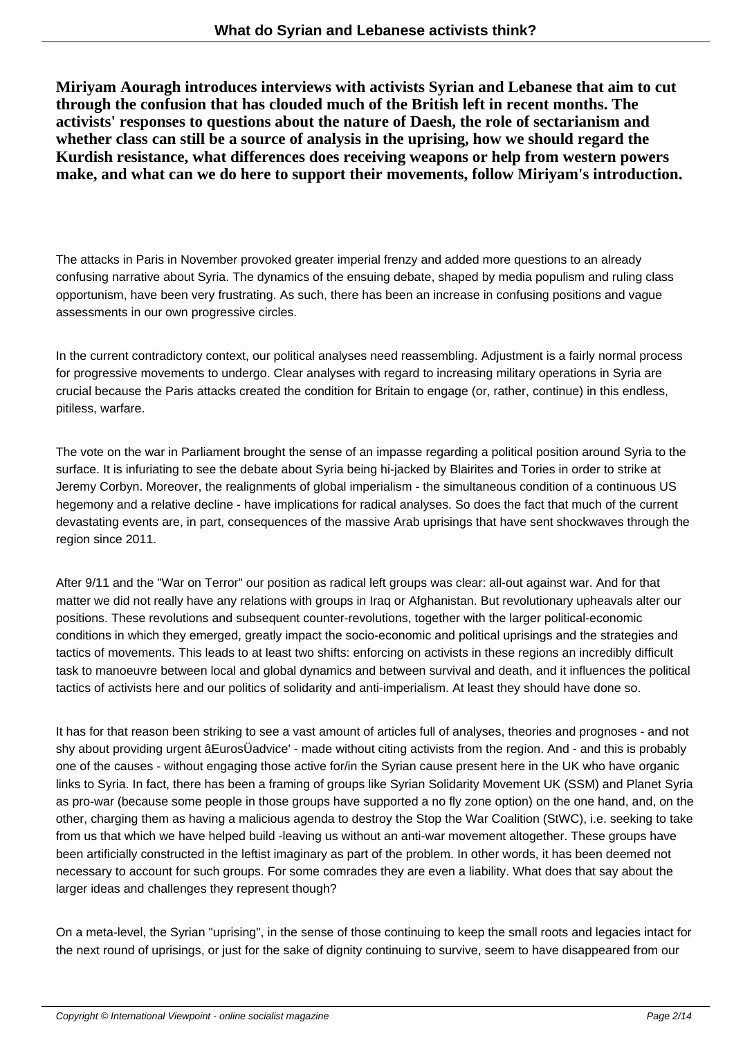**Miriyam Aouragh introduces interviews with activists Syrian and Lebanese that aim to cut through the confusion that has clouded much of the British left in recent months. The activists' responses to questions about the nature of Daesh, the role of sectarianism and whether class can still be a source of analysis in the uprising, how we should regard the Kurdish resistance, what differences does receiving weapons or help from western powers make, and what can we do here to support their movements, follow Miriyam's introduction.**

The attacks in Paris in November provoked greater imperial frenzy and added more questions to an already confusing narrative about Syria. The dynamics of the ensuing debate, shaped by media populism and ruling class opportunism, have been very frustrating. As such, there has been an increase in confusing positions and vague assessments in our own progressive circles.

In the current contradictory context, our political analyses need reassembling. Adjustment is a fairly normal process for progressive movements to undergo. Clear analyses with regard to increasing military operations in Syria are crucial because the Paris attacks created the condition for Britain to engage (or, rather, continue) in this endless, pitiless, warfare.

The vote on the war in Parliament brought the sense of an impasse regarding a political position around Syria to the surface. It is infuriating to see the debate about Syria being hi-jacked by Blairites and Tories in order to strike at Jeremy Corbyn. Moreover, the realignments of global imperialism - the simultaneous condition of a continuous US hegemony and a relative decline - have implications for radical analyses. So does the fact that much of the current devastating events are, in part, consequences of the massive Arab uprisings that have sent shockwaves through the region since 2011.

After 9/11 and the "War on Terror" our position as radical left groups was clear: all-out against war. And for that matter we did not really have any relations with groups in Iraq or Afghanistan. But revolutionary upheavals alter our positions. These revolutions and subsequent counter-revolutions, together with the larger political-economic conditions in which they emerged, greatly impact the socio-economic and political uprisings and the strategies and tactics of movements. This leads to at least two shifts: enforcing on activists in these regions an incredibly difficult task to manoeuvre between local and global dynamics and between survival and death, and it influences the political tactics of activists here and our politics of solidarity and anti-imperialism. At least they should have done so.

It has for that reason been striking to see a vast amount of articles full of analyses, theories and prognoses - and not shy about providing urgent âEurosÜadvice' - made without citing activists from the region. And - and this is probably one of the causes - without engaging those active for/in the Syrian cause present here in the UK who have organic links to Syria. In fact, there has been a framing of groups like Syrian Solidarity Movement UK (SSM) and Planet Syria as pro-war (because some people in those groups have supported a no fly zone option) on the one hand, and, on the other, charging them as having a malicious agenda to destroy the Stop the War Coalition (StWC), i.e. seeking to take from us that which we have helped build -leaving us without an anti-war movement altogether. These groups have been artificially constructed in the leftist imaginary as part of the problem. In other words, it has been deemed not necessary to account for such groups. For some comrades they are even a liability. What does that say about the larger ideas and challenges they represent though?

On a meta-level, the Syrian "uprising", in the sense of those continuing to keep the small roots and legacies intact for the next round of uprisings, or just for the sake of dignity continuing to survive, seem to have disappeared from our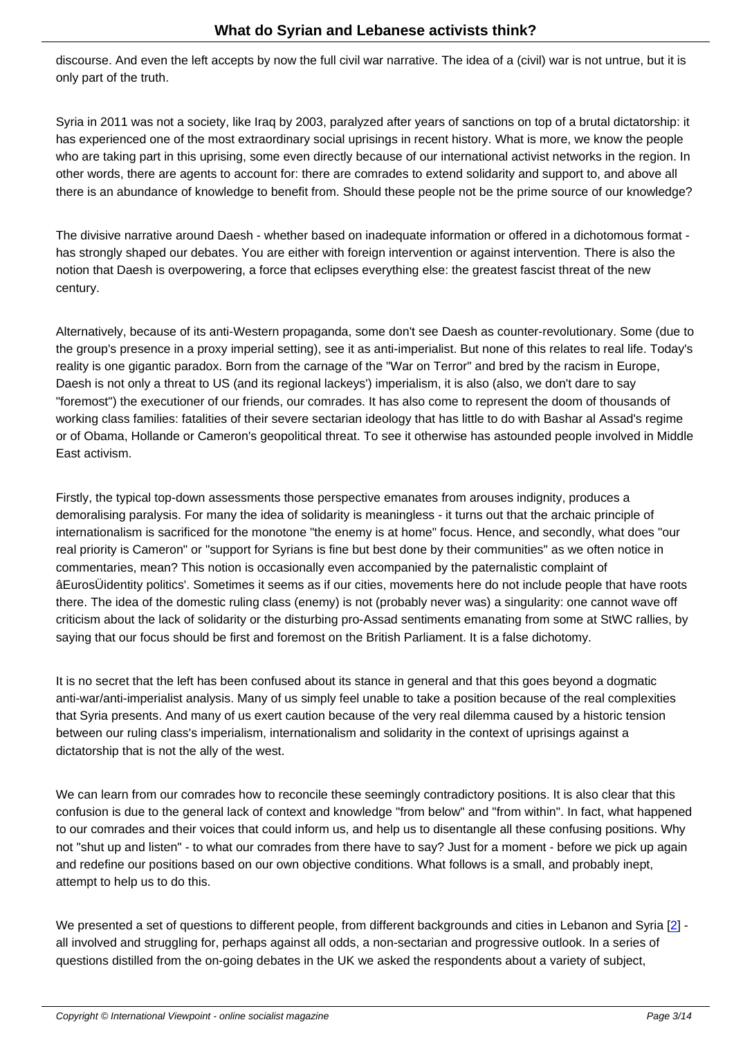discourse. And even the left accepts by now the full civil war narrative. The idea of a (civil) war is not untrue, but it is only part of the truth.

Syria in 2011 was not a society, like Iraq by 2003, paralyzed after years of sanctions on top of a brutal dictatorship: it has experienced one of the most extraordinary social uprisings in recent history. What is more, we know the people who are taking part in this uprising, some even directly because of our international activist networks in the region. In other words, there are agents to account for: there are comrades to extend solidarity and support to, and above all there is an abundance of knowledge to benefit from. Should these people not be the prime source of our knowledge?

The divisive narrative around Daesh - whether based on inadequate information or offered in a dichotomous format has strongly shaped our debates. You are either with foreign intervention or against intervention. There is also the notion that Daesh is overpowering, a force that eclipses everything else: the greatest fascist threat of the new century.

Alternatively, because of its anti-Western propaganda, some don't see Daesh as counter-revolutionary. Some (due to the group's presence in a proxy imperial setting), see it as anti-imperialist. But none of this relates to real life. Today's reality is one gigantic paradox. Born from the carnage of the "War on Terror" and bred by the racism in Europe, Daesh is not only a threat to US (and its regional lackeys') imperialism, it is also (also, we don't dare to say "foremost") the executioner of our friends, our comrades. It has also come to represent the doom of thousands of working class families: fatalities of their severe sectarian ideology that has little to do with Bashar al Assad's regime or of Obama, Hollande or Cameron's geopolitical threat. To see it otherwise has astounded people involved in Middle East activism.

Firstly, the typical top-down assessments those perspective emanates from arouses indignity, produces a demoralising paralysis. For many the idea of solidarity is meaningless - it turns out that the archaic principle of internationalism is sacrificed for the monotone "the enemy is at home" focus. Hence, and secondly, what does "our real priority is Cameron" or "support for Syrians is fine but best done by their communities" as we often notice in commentaries, mean? This notion is occasionally even accompanied by the paternalistic complaint of âEurosÜidentity politics'. Sometimes it seems as if our cities, movements here do not include people that have roots there. The idea of the domestic ruling class (enemy) is not (probably never was) a singularity: one cannot wave off criticism about the lack of solidarity or the disturbing pro-Assad sentiments emanating from some at StWC rallies, by saying that our focus should be first and foremost on the British Parliament. It is a false dichotomy.

It is no secret that the left has been confused about its stance in general and that this goes beyond a dogmatic anti-war/anti-imperialist analysis. Many of us simply feel unable to take a position because of the real complexities that Syria presents. And many of us exert caution because of the very real dilemma caused by a historic tension between our ruling class's imperialism, internationalism and solidarity in the context of uprisings against a dictatorship that is not the ally of the west.

We can learn from our comrades how to reconcile these seemingly contradictory positions. It is also clear that this confusion is due to the general lack of context and knowledge "from below" and "from within". In fact, what happened to our comrades and their voices that could inform us, and help us to disentangle all these confusing positions. Why not "shut up and listen" - to what our comrades from there have to say? Just for a moment - before we pick up again and redefine our positions based on our own objective conditions. What follows is a small, and probably inept, attempt to help us to do this.

We presented a set of questions to different people, from different backgrounds and cities in Lebanon and Syria [2] all involved and struggling for, perhaps against all odds, a non-sectarian and progressive outlook. In a series of questions distilled from the on-going debates in the UK we asked the respondents about a variety of subject,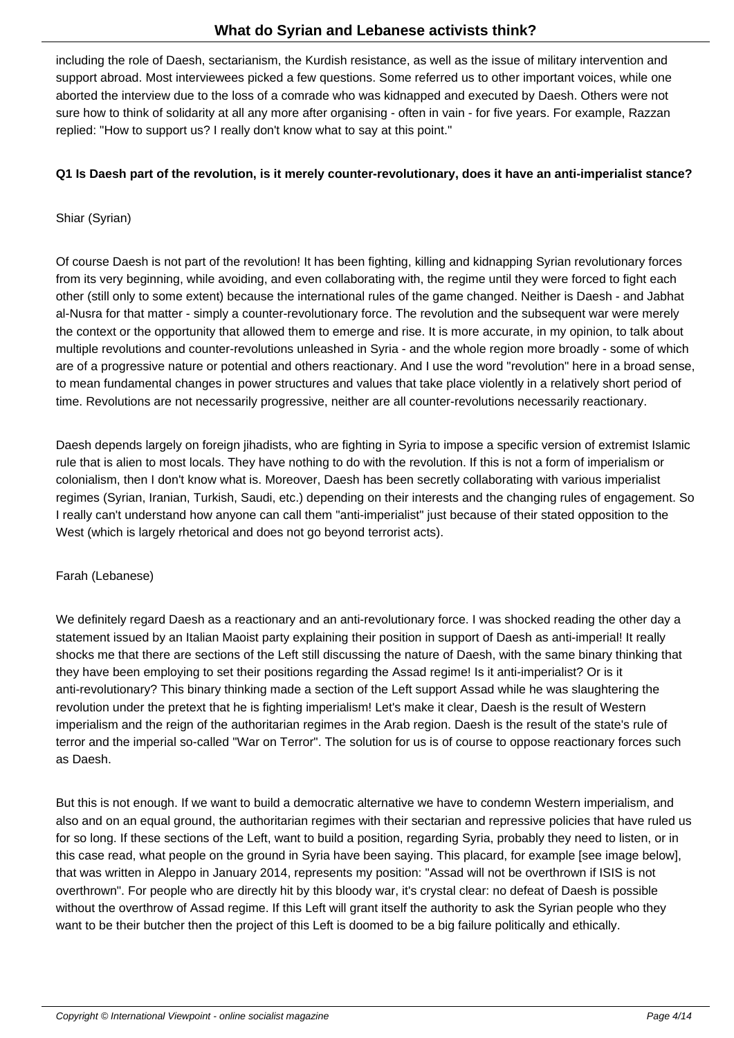including the role of Daesh, sectarianism, the Kurdish resistance, as well as the issue of military intervention and support abroad. Most interviewees picked a few questions. Some referred us to other important voices, while one aborted the interview due to the loss of a comrade who was kidnapped and executed by Daesh. Others were not sure how to think of solidarity at all any more after organising - often in vain - for five years. For example, Razzan replied: "How to support us? I really don't know what to say at this point."

## **Q1 Is Daesh part of the revolution, is it merely counter-revolutionary, does it have an anti-imperialist stance?**

## Shiar (Syrian)

Of course Daesh is not part of the revolution! It has been fighting, killing and kidnapping Syrian revolutionary forces from its very beginning, while avoiding, and even collaborating with, the regime until they were forced to fight each other (still only to some extent) because the international rules of the game changed. Neither is Daesh - and Jabhat al-Nusra for that matter - simply a counter-revolutionary force. The revolution and the subsequent war were merely the context or the opportunity that allowed them to emerge and rise. It is more accurate, in my opinion, to talk about multiple revolutions and counter-revolutions unleashed in Syria - and the whole region more broadly - some of which are of a progressive nature or potential and others reactionary. And I use the word "revolution" here in a broad sense, to mean fundamental changes in power structures and values that take place violently in a relatively short period of time. Revolutions are not necessarily progressive, neither are all counter-revolutions necessarily reactionary.

Daesh depends largely on foreign jihadists, who are fighting in Syria to impose a specific version of extremist Islamic rule that is alien to most locals. They have nothing to do with the revolution. If this is not a form of imperialism or colonialism, then I don't know what is. Moreover, Daesh has been secretly collaborating with various imperialist regimes (Syrian, Iranian, Turkish, Saudi, etc.) depending on their interests and the changing rules of engagement. So I really can't understand how anyone can call them "anti-imperialist" just because of their stated opposition to the West (which is largely rhetorical and does not go beyond terrorist acts).

## Farah (Lebanese)

We definitely regard Daesh as a reactionary and an anti-revolutionary force. I was shocked reading the other day a statement issued by an Italian Maoist party explaining their position in support of Daesh as anti-imperial! It really shocks me that there are sections of the Left still discussing the nature of Daesh, with the same binary thinking that they have been employing to set their positions regarding the Assad regime! Is it anti-imperialist? Or is it anti-revolutionary? This binary thinking made a section of the Left support Assad while he was slaughtering the revolution under the pretext that he is fighting imperialism! Let's make it clear, Daesh is the result of Western imperialism and the reign of the authoritarian regimes in the Arab region. Daesh is the result of the state's rule of terror and the imperial so-called "War on Terror". The solution for us is of course to oppose reactionary forces such as Daesh.

But this is not enough. If we want to build a democratic alternative we have to condemn Western imperialism, and also and on an equal ground, the authoritarian regimes with their sectarian and repressive policies that have ruled us for so long. If these sections of the Left, want to build a position, regarding Syria, probably they need to listen, or in this case read, what people on the ground in Syria have been saying. This placard, for example [see image below], that was written in Aleppo in January 2014, represents my position: "Assad will not be overthrown if ISIS is not overthrown". For people who are directly hit by this bloody war, it's crystal clear: no defeat of Daesh is possible without the overthrow of Assad regime. If this Left will grant itself the authority to ask the Syrian people who they want to be their butcher then the project of this Left is doomed to be a big failure politically and ethically.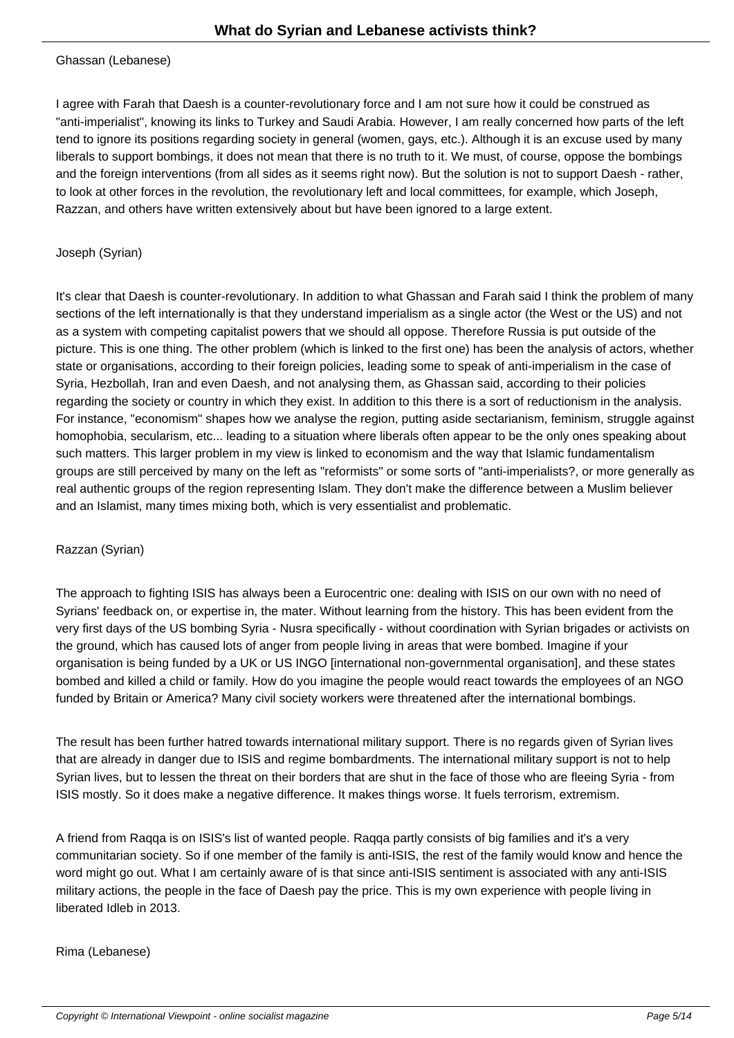I agree with Farah that Daesh is a counter-revolutionary force and I am not sure how it could be construed as "anti-imperialist", knowing its links to Turkey and Saudi Arabia. However, I am really concerned how parts of the left tend to ignore its positions regarding society in general (women, gays, etc.). Although it is an excuse used by many liberals to support bombings, it does not mean that there is no truth to it. We must, of course, oppose the bombings and the foreign interventions (from all sides as it seems right now). But the solution is not to support Daesh - rather, to look at other forces in the revolution, the revolutionary left and local committees, for example, which Joseph, Razzan, and others have written extensively about but have been ignored to a large extent.

## Joseph (Syrian)

It's clear that Daesh is counter-revolutionary. In addition to what Ghassan and Farah said I think the problem of many sections of the left internationally is that they understand imperialism as a single actor (the West or the US) and not as a system with competing capitalist powers that we should all oppose. Therefore Russia is put outside of the picture. This is one thing. The other problem (which is linked to the first one) has been the analysis of actors, whether state or organisations, according to their foreign policies, leading some to speak of anti-imperialism in the case of Syria, Hezbollah, Iran and even Daesh, and not analysing them, as Ghassan said, according to their policies regarding the society or country in which they exist. In addition to this there is a sort of reductionism in the analysis. For instance, "economism" shapes how we analyse the region, putting aside sectarianism, feminism, struggle against homophobia, secularism, etc... leading to a situation where liberals often appear to be the only ones speaking about such matters. This larger problem in my view is linked to economism and the way that Islamic fundamentalism groups are still perceived by many on the left as "reformists" or some sorts of "anti-imperialists?, or more generally as real authentic groups of the region representing Islam. They don't make the difference between a Muslim believer and an Islamist, many times mixing both, which is very essentialist and problematic.

## Razzan (Syrian)

The approach to fighting ISIS has always been a Eurocentric one: dealing with ISIS on our own with no need of Syrians' feedback on, or expertise in, the mater. Without learning from the history. This has been evident from the very first days of the US bombing Syria - Nusra specifically - without coordination with Syrian brigades or activists on the ground, which has caused lots of anger from people living in areas that were bombed. Imagine if your organisation is being funded by a UK or US INGO [international non-governmental organisation], and these states bombed and killed a child or family. How do you imagine the people would react towards the employees of an NGO funded by Britain or America? Many civil society workers were threatened after the international bombings.

The result has been further hatred towards international military support. There is no regards given of Syrian lives that are already in danger due to ISIS and regime bombardments. The international military support is not to help Syrian lives, but to lessen the threat on their borders that are shut in the face of those who are fleeing Syria - from ISIS mostly. So it does make a negative difference. It makes things worse. It fuels terrorism, extremism.

A friend from Raqqa is on ISIS's list of wanted people. Raqqa partly consists of big families and it's a very communitarian society. So if one member of the family is anti-ISIS, the rest of the family would know and hence the word might go out. What I am certainly aware of is that since anti-ISIS sentiment is associated with any anti-ISIS military actions, the people in the face of Daesh pay the price. This is my own experience with people living in liberated Idleb in 2013.

Rima (Lebanese)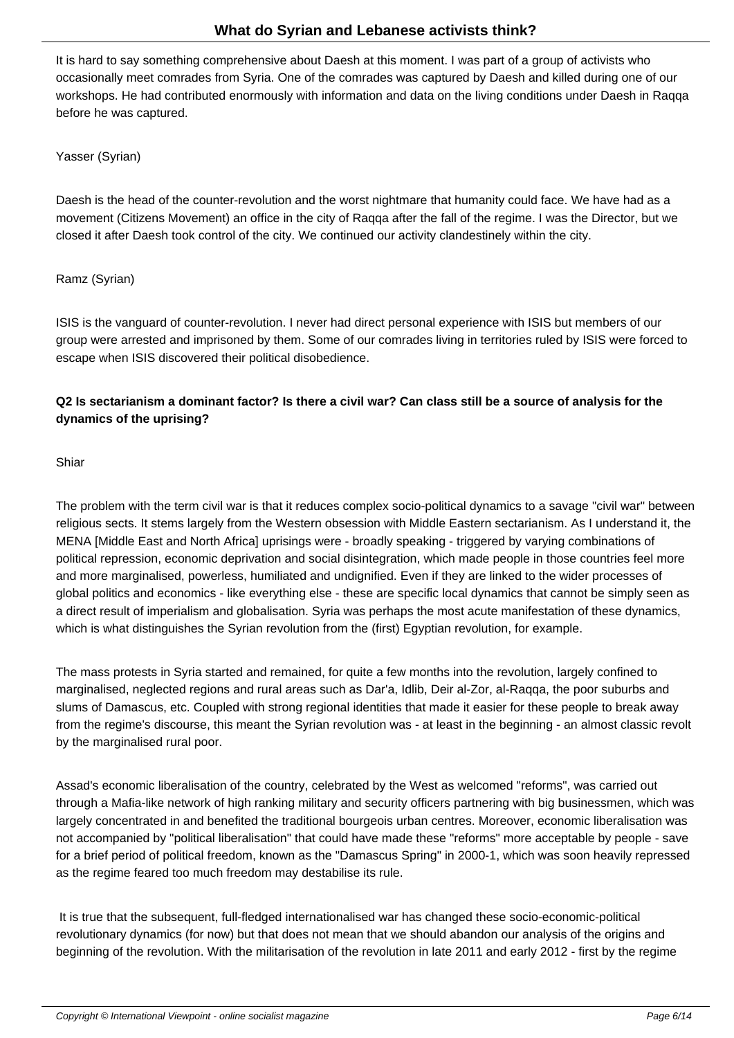It is hard to say something comprehensive about Daesh at this moment. I was part of a group of activists who occasionally meet comrades from Syria. One of the comrades was captured by Daesh and killed during one of our workshops. He had contributed enormously with information and data on the living conditions under Daesh in Raqqa before he was captured.

Yasser (Syrian)

Daesh is the head of the counter-revolution and the worst nightmare that humanity could face. We have had as a movement (Citizens Movement) an office in the city of Raqqa after the fall of the regime. I was the Director, but we closed it after Daesh took control of the city. We continued our activity clandestinely within the city.

Ramz (Syrian)

ISIS is the vanguard of counter-revolution. I never had direct personal experience with ISIS but members of our group were arrested and imprisoned by them. Some of our comrades living in territories ruled by ISIS were forced to escape when ISIS discovered their political disobedience.

# **Q2 Is sectarianism a dominant factor? Is there a civil war? Can class still be a source of analysis for the dynamics of the uprising?**

Shiar

The problem with the term civil war is that it reduces complex socio-political dynamics to a savage "civil war" between religious sects. It stems largely from the Western obsession with Middle Eastern sectarianism. As I understand it, the MENA [Middle East and North Africa] uprisings were - broadly speaking - triggered by varying combinations of political repression, economic deprivation and social disintegration, which made people in those countries feel more and more marginalised, powerless, humiliated and undignified. Even if they are linked to the wider processes of global politics and economics - like everything else - these are specific local dynamics that cannot be simply seen as a direct result of imperialism and globalisation. Syria was perhaps the most acute manifestation of these dynamics, which is what distinguishes the Syrian revolution from the (first) Egyptian revolution, for example.

The mass protests in Syria started and remained, for quite a few months into the revolution, largely confined to marginalised, neglected regions and rural areas such as Dar'a, Idlib, Deir al-Zor, al-Raqqa, the poor suburbs and slums of Damascus, etc. Coupled with strong regional identities that made it easier for these people to break away from the regime's discourse, this meant the Syrian revolution was - at least in the beginning - an almost classic revolt by the marginalised rural poor.

Assad's economic liberalisation of the country, celebrated by the West as welcomed "reforms", was carried out through a Mafia-like network of high ranking military and security officers partnering with big businessmen, which was largely concentrated in and benefited the traditional bourgeois urban centres. Moreover, economic liberalisation was not accompanied by "political liberalisation" that could have made these "reforms" more acceptable by people - save for a brief period of political freedom, known as the "Damascus Spring" in 2000-1, which was soon heavily repressed as the regime feared too much freedom may destabilise its rule.

 It is true that the subsequent, full-fledged internationalised war has changed these socio-economic-political revolutionary dynamics (for now) but that does not mean that we should abandon our analysis of the origins and beginning of the revolution. With the militarisation of the revolution in late 2011 and early 2012 - first by the regime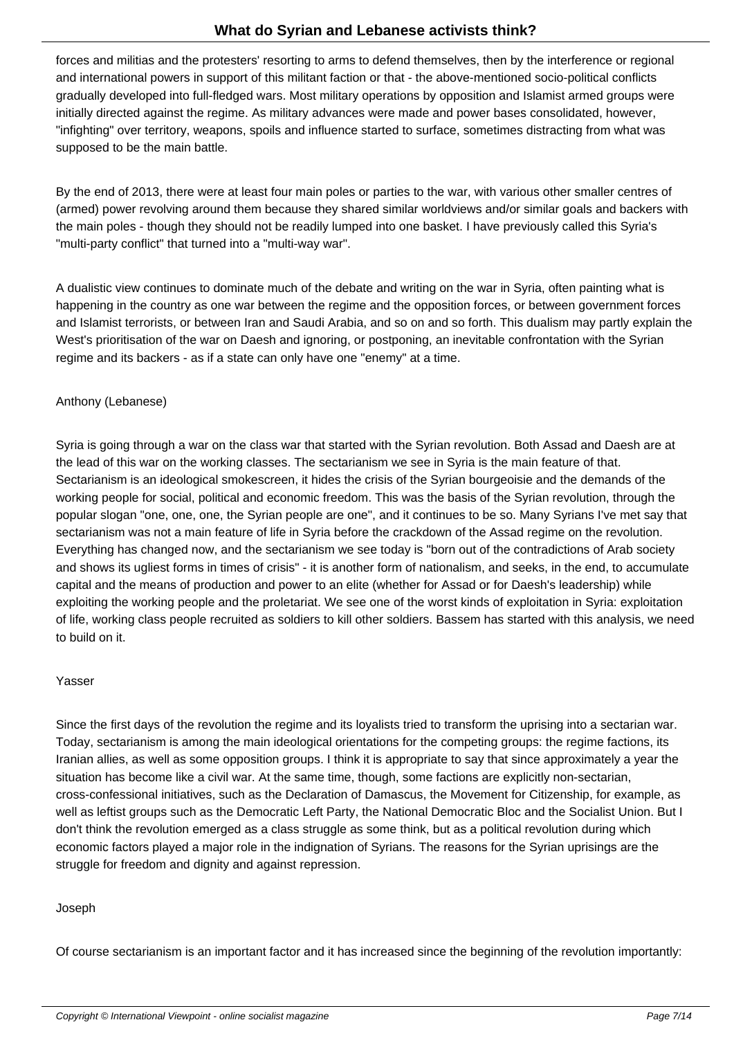forces and militias and the protesters' resorting to arms to defend themselves, then by the interference or regional and international powers in support of this militant faction or that - the above-mentioned socio-political conflicts gradually developed into full-fledged wars. Most military operations by opposition and Islamist armed groups were initially directed against the regime. As military advances were made and power bases consolidated, however, "infighting" over territory, weapons, spoils and influence started to surface, sometimes distracting from what was supposed to be the main battle.

By the end of 2013, there were at least four main poles or parties to the war, with various other smaller centres of (armed) power revolving around them because they shared similar worldviews and/or similar goals and backers with the main poles - though they should not be readily lumped into one basket. I have previously called this Syria's "multi-party conflict" that turned into a "multi-way war".

A dualistic view continues to dominate much of the debate and writing on the war in Syria, often painting what is happening in the country as one war between the regime and the opposition forces, or between government forces and Islamist terrorists, or between Iran and Saudi Arabia, and so on and so forth. This dualism may partly explain the West's prioritisation of the war on Daesh and ignoring, or postponing, an inevitable confrontation with the Syrian regime and its backers - as if a state can only have one "enemy" at a time.

## Anthony (Lebanese)

Syria is going through a war on the class war that started with the Syrian revolution. Both Assad and Daesh are at the lead of this war on the working classes. The sectarianism we see in Syria is the main feature of that. Sectarianism is an ideological smokescreen, it hides the crisis of the Syrian bourgeoisie and the demands of the working people for social, political and economic freedom. This was the basis of the Syrian revolution, through the popular slogan "one, one, one, the Syrian people are one", and it continues to be so. Many Syrians I've met say that sectarianism was not a main feature of life in Syria before the crackdown of the Assad regime on the revolution. Everything has changed now, and the sectarianism we see today is "born out of the contradictions of Arab society and shows its ugliest forms in times of crisis" - it is another form of nationalism, and seeks, in the end, to accumulate capital and the means of production and power to an elite (whether for Assad or for Daesh's leadership) while exploiting the working people and the proletariat. We see one of the worst kinds of exploitation in Syria: exploitation of life, working class people recruited as soldiers to kill other soldiers. Bassem has started with this analysis, we need to build on it.

## Yasser

Since the first days of the revolution the regime and its loyalists tried to transform the uprising into a sectarian war. Today, sectarianism is among the main ideological orientations for the competing groups: the regime factions, its Iranian allies, as well as some opposition groups. I think it is appropriate to say that since approximately a year the situation has become like a civil war. At the same time, though, some factions are explicitly non-sectarian, cross-confessional initiatives, such as the Declaration of Damascus, the Movement for Citizenship, for example, as well as leftist groups such as the Democratic Left Party, the National Democratic Bloc and the Socialist Union. But I don't think the revolution emerged as a class struggle as some think, but as a political revolution during which economic factors played a major role in the indignation of Syrians. The reasons for the Syrian uprisings are the struggle for freedom and dignity and against repression.

## Joseph

Of course sectarianism is an important factor and it has increased since the beginning of the revolution importantly: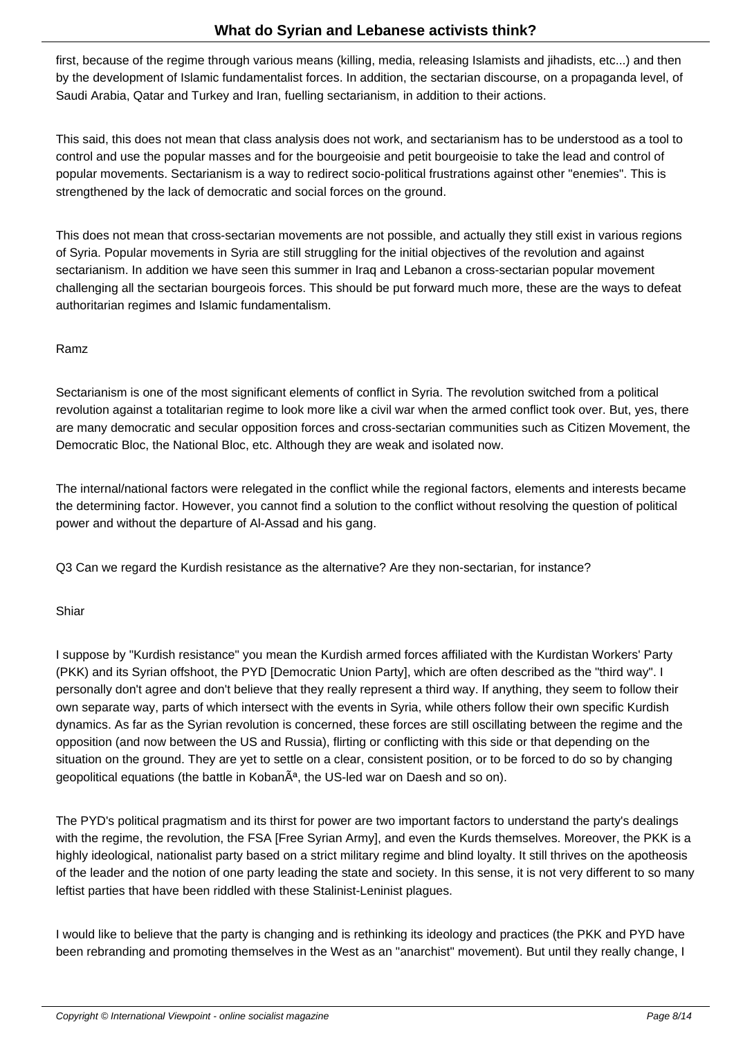first, because of the regime through various means (killing, media, releasing Islamists and jihadists, etc...) and then by the development of Islamic fundamentalist forces. In addition, the sectarian discourse, on a propaganda level, of Saudi Arabia, Qatar and Turkey and Iran, fuelling sectarianism, in addition to their actions.

This said, this does not mean that class analysis does not work, and sectarianism has to be understood as a tool to control and use the popular masses and for the bourgeoisie and petit bourgeoisie to take the lead and control of popular movements. Sectarianism is a way to redirect socio-political frustrations against other "enemies". This is strengthened by the lack of democratic and social forces on the ground.

This does not mean that cross-sectarian movements are not possible, and actually they still exist in various regions of Syria. Popular movements in Syria are still struggling for the initial objectives of the revolution and against sectarianism. In addition we have seen this summer in Iraq and Lebanon a cross-sectarian popular movement challenging all the sectarian bourgeois forces. This should be put forward much more, these are the ways to defeat authoritarian regimes and Islamic fundamentalism.

## Ramz

Sectarianism is one of the most significant elements of conflict in Syria. The revolution switched from a political revolution against a totalitarian regime to look more like a civil war when the armed conflict took over. But, yes, there are many democratic and secular opposition forces and cross-sectarian communities such as Citizen Movement, the Democratic Bloc, the National Bloc, etc. Although they are weak and isolated now.

The internal/national factors were relegated in the conflict while the regional factors, elements and interests became the determining factor. However, you cannot find a solution to the conflict without resolving the question of political power and without the departure of Al-Assad and his gang.

Q3 Can we regard the Kurdish resistance as the alternative? Are they non-sectarian, for instance?

## Shiar

I suppose by "Kurdish resistance" you mean the Kurdish armed forces affiliated with the Kurdistan Workers' Party (PKK) and its Syrian offshoot, the PYD [Democratic Union Party], which are often described as the "third way". I personally don't agree and don't believe that they really represent a third way. If anything, they seem to follow their own separate way, parts of which intersect with the events in Syria, while others follow their own specific Kurdish dynamics. As far as the Syrian revolution is concerned, these forces are still oscillating between the regime and the opposition (and now between the US and Russia), flirting or conflicting with this side or that depending on the situation on the ground. They are yet to settle on a clear, consistent position, or to be forced to do so by changing geopolitical equations (the battle in Koban $\tilde{A}^a$ , the US-led war on Daesh and so on).

The PYD's political pragmatism and its thirst for power are two important factors to understand the party's dealings with the regime, the revolution, the FSA [Free Syrian Army], and even the Kurds themselves. Moreover, the PKK is a highly ideological, nationalist party based on a strict military regime and blind loyalty. It still thrives on the apotheosis of the leader and the notion of one party leading the state and society. In this sense, it is not very different to so many leftist parties that have been riddled with these Stalinist-Leninist plagues.

I would like to believe that the party is changing and is rethinking its ideology and practices (the PKK and PYD have been rebranding and promoting themselves in the West as an "anarchist" movement). But until they really change, I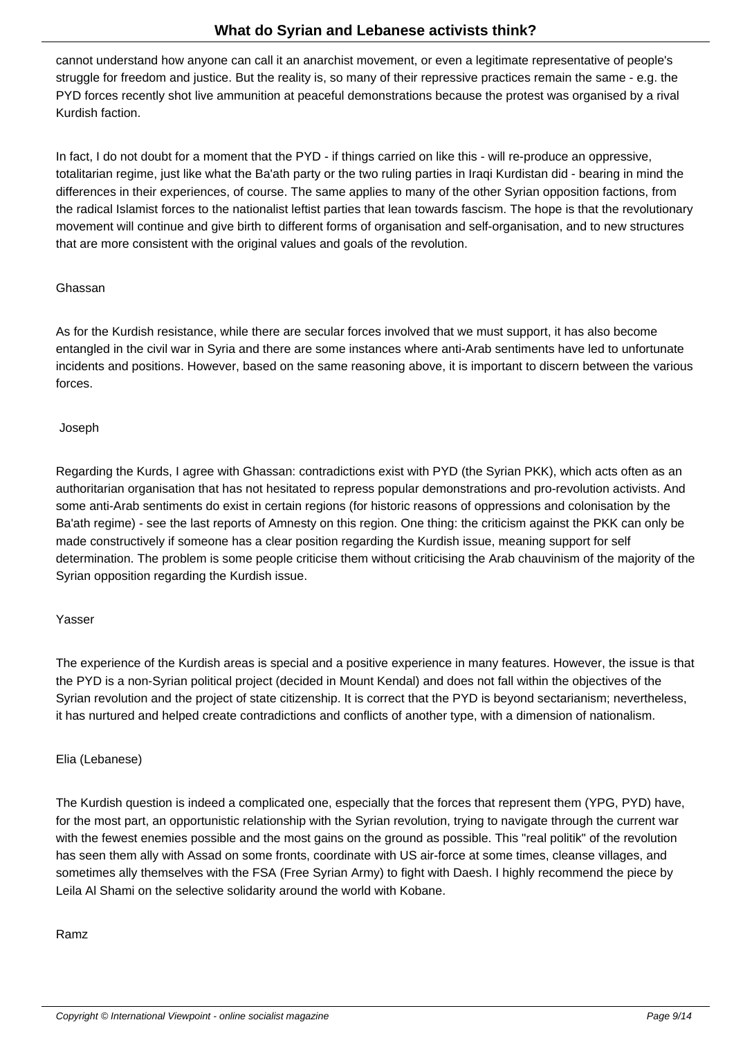cannot understand how anyone can call it an anarchist movement, or even a legitimate representative of people's struggle for freedom and justice. But the reality is, so many of their repressive practices remain the same - e.g. the PYD forces recently shot live ammunition at peaceful demonstrations because the protest was organised by a rival Kurdish faction.

In fact, I do not doubt for a moment that the PYD - if things carried on like this - will re-produce an oppressive, totalitarian regime, just like what the Ba'ath party or the two ruling parties in Iraqi Kurdistan did - bearing in mind the differences in their experiences, of course. The same applies to many of the other Syrian opposition factions, from the radical Islamist forces to the nationalist leftist parties that lean towards fascism. The hope is that the revolutionary movement will continue and give birth to different forms of organisation and self-organisation, and to new structures that are more consistent with the original values and goals of the revolution.

### Ghassan

As for the Kurdish resistance, while there are secular forces involved that we must support, it has also become entangled in the civil war in Syria and there are some instances where anti-Arab sentiments have led to unfortunate incidents and positions. However, based on the same reasoning above, it is important to discern between the various forces.

#### Joseph

Regarding the Kurds, I agree with Ghassan: contradictions exist with PYD (the Syrian PKK), which acts often as an authoritarian organisation that has not hesitated to repress popular demonstrations and pro-revolution activists. And some anti-Arab sentiments do exist in certain regions (for historic reasons of oppressions and colonisation by the Ba'ath regime) - see the last reports of Amnesty on this region. One thing: the criticism against the PKK can only be made constructively if someone has a clear position regarding the Kurdish issue, meaning support for self determination. The problem is some people criticise them without criticising the Arab chauvinism of the majority of the Syrian opposition regarding the Kurdish issue.

#### Yasser

The experience of the Kurdish areas is special and a positive experience in many features. However, the issue is that the PYD is a non-Syrian political project (decided in Mount Kendal) and does not fall within the objectives of the Syrian revolution and the project of state citizenship. It is correct that the PYD is beyond sectarianism; nevertheless, it has nurtured and helped create contradictions and conflicts of another type, with a dimension of nationalism.

## Elia (Lebanese)

The Kurdish question is indeed a complicated one, especially that the forces that represent them (YPG, PYD) have, for the most part, an opportunistic relationship with the Syrian revolution, trying to navigate through the current war with the fewest enemies possible and the most gains on the ground as possible. This "real politik" of the revolution has seen them ally with Assad on some fronts, coordinate with US air-force at some times, cleanse villages, and sometimes ally themselves with the FSA (Free Syrian Army) to fight with Daesh. I highly recommend the piece by Leila Al Shami on the selective solidarity around the world with Kobane.

#### Ramz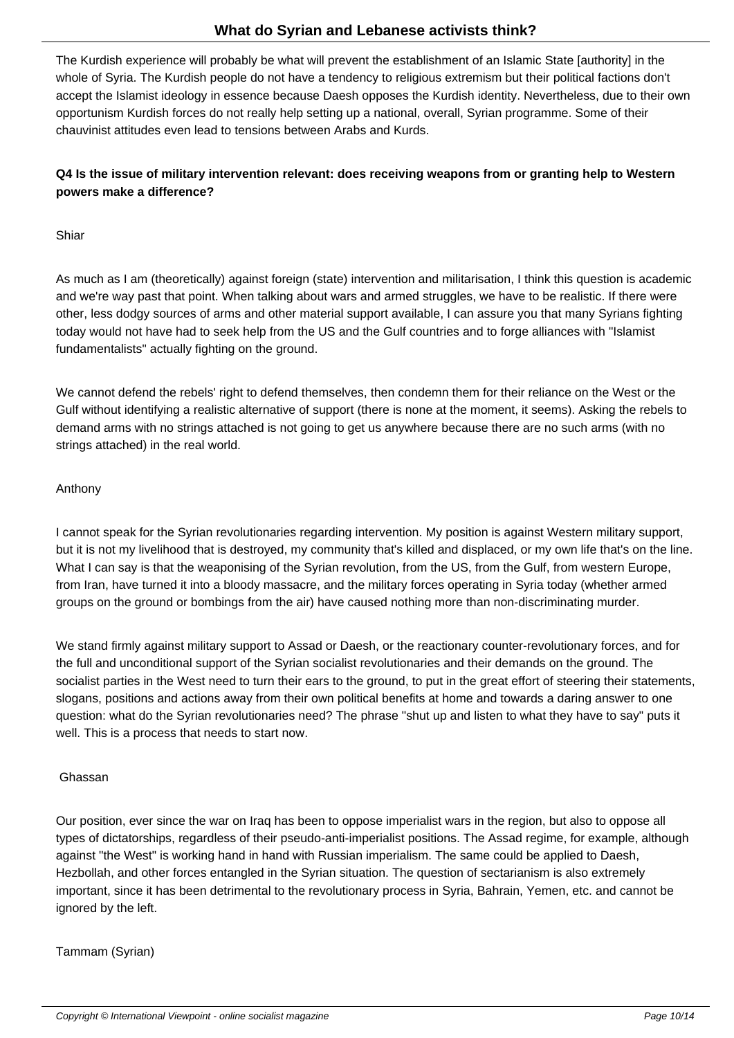The Kurdish experience will probably be what will prevent the establishment of an Islamic State [authority] in the whole of Syria. The Kurdish people do not have a tendency to religious extremism but their political factions don't accept the Islamist ideology in essence because Daesh opposes the Kurdish identity. Nevertheless, due to their own opportunism Kurdish forces do not really help setting up a national, overall, Syrian programme. Some of their chauvinist attitudes even lead to tensions between Arabs and Kurds.

## **Q4 Is the issue of military intervention relevant: does receiving weapons from or granting help to Western powers make a difference?**

Shiar

As much as I am (theoretically) against foreign (state) intervention and militarisation, I think this question is academic and we're way past that point. When talking about wars and armed struggles, we have to be realistic. If there were other, less dodgy sources of arms and other material support available, I can assure you that many Syrians fighting today would not have had to seek help from the US and the Gulf countries and to forge alliances with "Islamist fundamentalists" actually fighting on the ground.

We cannot defend the rebels' right to defend themselves, then condemn them for their reliance on the West or the Gulf without identifying a realistic alternative of support (there is none at the moment, it seems). Asking the rebels to demand arms with no strings attached is not going to get us anywhere because there are no such arms (with no strings attached) in the real world.

## Anthony

I cannot speak for the Syrian revolutionaries regarding intervention. My position is against Western military support, but it is not my livelihood that is destroyed, my community that's killed and displaced, or my own life that's on the line. What I can say is that the weaponising of the Syrian revolution, from the US, from the Gulf, from western Europe, from Iran, have turned it into a bloody massacre, and the military forces operating in Syria today (whether armed groups on the ground or bombings from the air) have caused nothing more than non-discriminating murder.

We stand firmly against military support to Assad or Daesh, or the reactionary counter-revolutionary forces, and for the full and unconditional support of the Syrian socialist revolutionaries and their demands on the ground. The socialist parties in the West need to turn their ears to the ground, to put in the great effort of steering their statements, slogans, positions and actions away from their own political benefits at home and towards a daring answer to one question: what do the Syrian revolutionaries need? The phrase "shut up and listen to what they have to say" puts it well. This is a process that needs to start now.

## Ghassan

Our position, ever since the war on Iraq has been to oppose imperialist wars in the region, but also to oppose all types of dictatorships, regardless of their pseudo-anti-imperialist positions. The Assad regime, for example, although against "the West" is working hand in hand with Russian imperialism. The same could be applied to Daesh, Hezbollah, and other forces entangled in the Syrian situation. The question of sectarianism is also extremely important, since it has been detrimental to the revolutionary process in Syria, Bahrain, Yemen, etc. and cannot be ignored by the left.

Tammam (Syrian)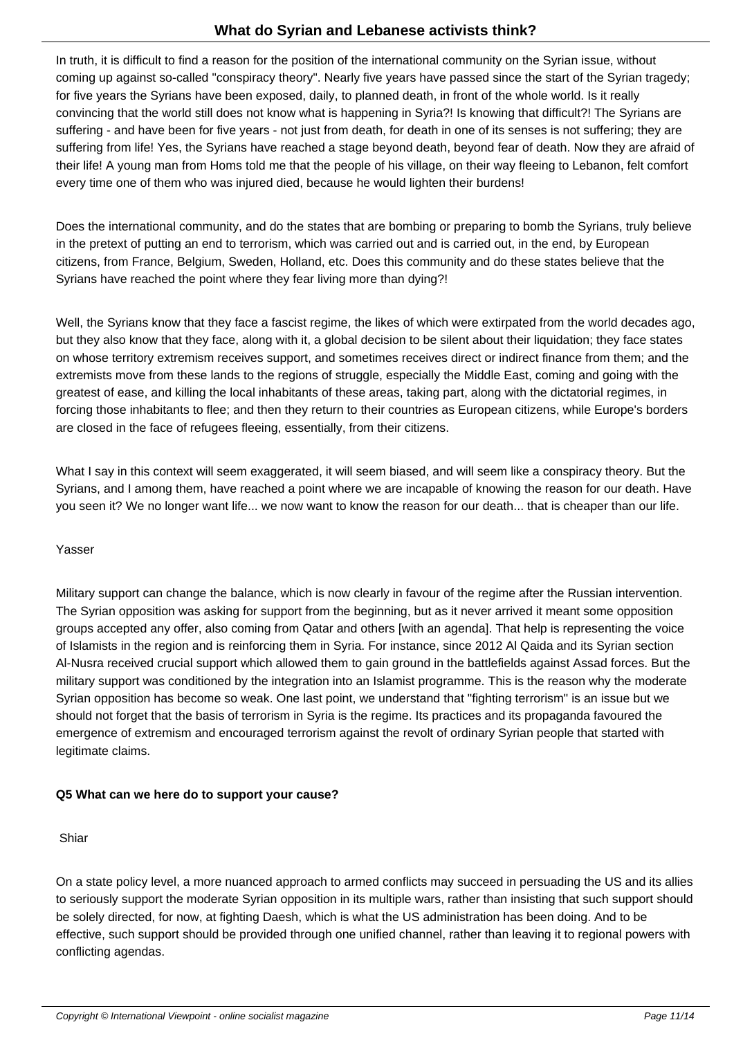It is difficult to find a reason for the position of the international community on the Syrian issue, without coming up against so-called "conspiracy theory". Nearly five years have passed since the start of the Syrian tragedy; for five years the Syrians have been exposed, daily, to planned death, in front of the whole world. Is it really convincing that the world still does not know what is happening in Syria?! Is knowing that difficult?! The Syrians are suffering - and have been for five years - not just from death, for death in one of its senses is not suffering; they are suffering from life! Yes, the Syrians have reached a stage beyond death, beyond fear of death. Now they are afraid of their life! A young man from Homs told me that the people of his village, on their way fleeing to Lebanon, felt comfort every time one of them who was injured died, because he would lighten their burdens!

Does the international community, and do the states that are bombing or preparing to bomb the Syrians, truly believe in the pretext of putting an end to terrorism, which was carried out and is carried out, in the end, by European citizens, from France, Belgium, Sweden, Holland, etc. Does this community and do these states believe that the Syrians have reached the point where they fear living more than dying?!

Well, the Syrians know that they face a fascist regime, the likes of which were extirpated from the world decades ago, but they also know that they face, along with it, a global decision to be silent about their liquidation; they face states on whose territory extremism receives support, and sometimes receives direct or indirect finance from them; and the extremists move from these lands to the regions of struggle, especially the Middle East, coming and going with the greatest of ease, and killing the local inhabitants of these areas, taking part, along with the dictatorial regimes, in forcing those inhabitants to flee; and then they return to their countries as European citizens, while Europe's borders are closed in the face of refugees fleeing, essentially, from their citizens.

What I say in this context will seem exaggerated, it will seem biased, and will seem like a conspiracy theory. But the Syrians, and I among them, have reached a point where we are incapable of knowing the reason for our death. Have you seen it? We no longer want life... we now want to know the reason for our death... that is cheaper than our life.

## Yasser

Military support can change the balance, which is now clearly in favour of the regime after the Russian intervention. The Syrian opposition was asking for support from the beginning, but as it never arrived it meant some opposition groups accepted any offer, also coming from Qatar and others [with an agenda]. That help is representing the voice of Islamists in the region and is reinforcing them in Syria. For instance, since 2012 Al Qaida and its Syrian section Al-Nusra received crucial support which allowed them to gain ground in the battlefields against Assad forces. But the military support was conditioned by the integration into an Islamist programme. This is the reason why the moderate Syrian opposition has become so weak. One last point, we understand that "fighting terrorism" is an issue but we should not forget that the basis of terrorism in Syria is the regime. Its practices and its propaganda favoured the emergence of extremism and encouraged terrorism against the revolt of ordinary Syrian people that started with legitimate claims.

## **Q5 What can we here do to support your cause?**

## Shiar

On a state policy level, a more nuanced approach to armed conflicts may succeed in persuading the US and its allies to seriously support the moderate Syrian opposition in its multiple wars, rather than insisting that such support should be solely directed, for now, at fighting Daesh, which is what the US administration has been doing. And to be effective, such support should be provided through one unified channel, rather than leaving it to regional powers with conflicting agendas.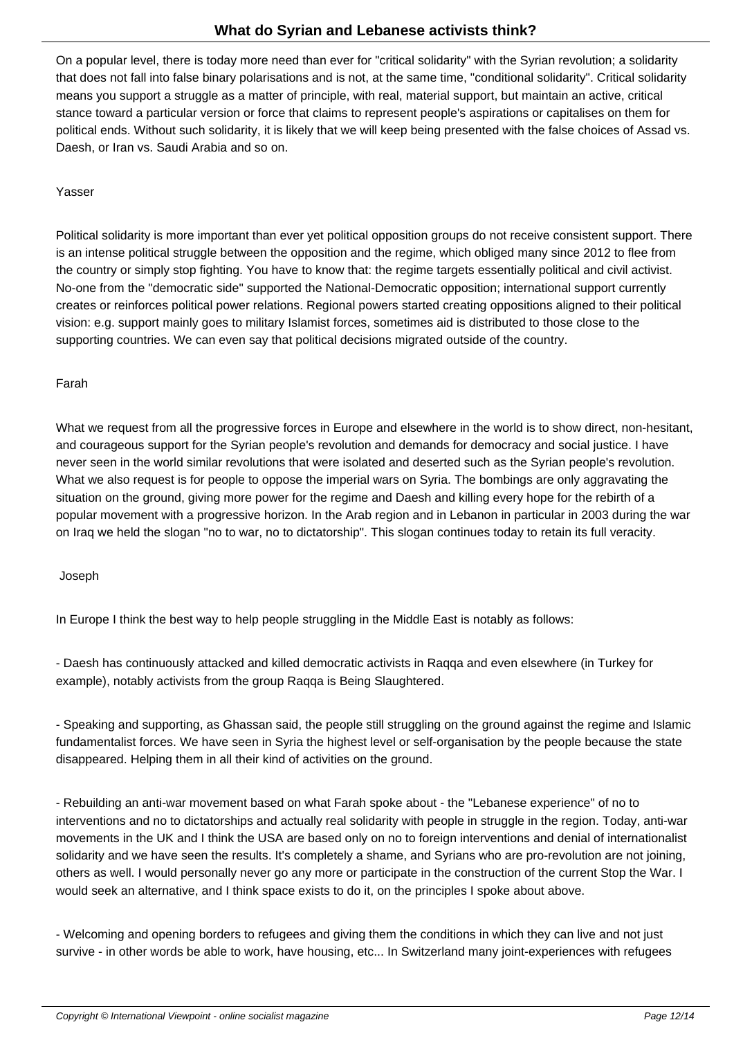On a popular level, there is today more need than ever for "critical solidarity" with the Syrian revolution; a solidarity that does not fall into false binary polarisations and is not, at the same time, "conditional solidarity". Critical solidarity means you support a struggle as a matter of principle, with real, material support, but maintain an active, critical stance toward a particular version or force that claims to represent people's aspirations or capitalises on them for political ends. Without such solidarity, it is likely that we will keep being presented with the false choices of Assad vs. Daesh, or Iran vs. Saudi Arabia and so on.

## Yasser

Political solidarity is more important than ever yet political opposition groups do not receive consistent support. There is an intense political struggle between the opposition and the regime, which obliged many since 2012 to flee from the country or simply stop fighting. You have to know that: the regime targets essentially political and civil activist. No-one from the "democratic side" supported the National-Democratic opposition; international support currently creates or reinforces political power relations. Regional powers started creating oppositions aligned to their political vision: e.g. support mainly goes to military Islamist forces, sometimes aid is distributed to those close to the supporting countries. We can even say that political decisions migrated outside of the country.

## Farah

What we request from all the progressive forces in Europe and elsewhere in the world is to show direct, non-hesitant, and courageous support for the Syrian people's revolution and demands for democracy and social justice. I have never seen in the world similar revolutions that were isolated and deserted such as the Syrian people's revolution. What we also request is for people to oppose the imperial wars on Syria. The bombings are only aggravating the situation on the ground, giving more power for the regime and Daesh and killing every hope for the rebirth of a popular movement with a progressive horizon. In the Arab region and in Lebanon in particular in 2003 during the war on Iraq we held the slogan "no to war, no to dictatorship". This slogan continues today to retain its full veracity.

## Joseph

In Europe I think the best way to help people struggling in the Middle East is notably as follows:

- Daesh has continuously attacked and killed democratic activists in Raqqa and even elsewhere (in Turkey for example), notably activists from the group Raqqa is Being Slaughtered.

- Speaking and supporting, as Ghassan said, the people still struggling on the ground against the regime and Islamic fundamentalist forces. We have seen in Syria the highest level or self-organisation by the people because the state disappeared. Helping them in all their kind of activities on the ground.

- Rebuilding an anti-war movement based on what Farah spoke about - the "Lebanese experience" of no to interventions and no to dictatorships and actually real solidarity with people in struggle in the region. Today, anti-war movements in the UK and I think the USA are based only on no to foreign interventions and denial of internationalist solidarity and we have seen the results. It's completely a shame, and Syrians who are pro-revolution are not joining, others as well. I would personally never go any more or participate in the construction of the current Stop the War. I would seek an alternative, and I think space exists to do it, on the principles I spoke about above.

- Welcoming and opening borders to refugees and giving them the conditions in which they can live and not just survive - in other words be able to work, have housing, etc... In Switzerland many joint-experiences with refugees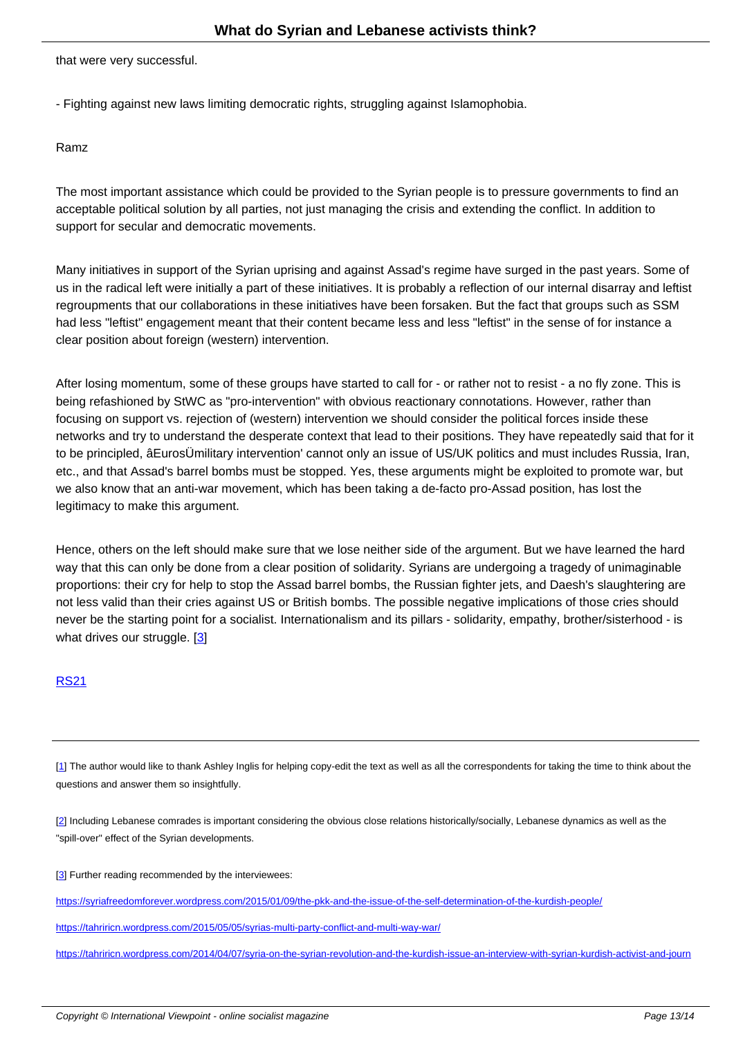that were very successful.

- Fighting against new laws limiting democratic rights, struggling against Islamophobia.

Ramz

The most important assistance which could be provided to the Syrian people is to pressure governments to find an acceptable political solution by all parties, not just managing the crisis and extending the conflict. In addition to support for secular and democratic movements.

Many initiatives in support of the Syrian uprising and against Assad's regime have surged in the past years. Some of us in the radical left were initially a part of these initiatives. It is probably a reflection of our internal disarray and leftist regroupments that our collaborations in these initiatives have been forsaken. But the fact that groups such as SSM had less "leftist" engagement meant that their content became less and less "leftist" in the sense of for instance a clear position about foreign (western) intervention.

After losing momentum, some of these groups have started to call for - or rather not to resist - a no fly zone. This is being refashioned by StWC as "pro-intervention" with obvious reactionary connotations. However, rather than focusing on support vs. rejection of (western) intervention we should consider the political forces inside these networks and try to understand the desperate context that lead to their positions. They have repeatedly said that for it to be principled, âEurosÜmilitary intervention' cannot only an issue of US/UK politics and must includes Russia, Iran, etc., and that Assad's barrel bombs must be stopped. Yes, these arguments might be exploited to promote war, but we also know that an anti-war movement, which has been taking a de-facto pro-Assad position, has lost the legitimacy to make this argument.

Hence, others on the left should make sure that we lose neither side of the argument. But we have learned the hard way that this can only be done from a clear position of solidarity. Syrians are undergoing a tragedy of unimaginable proportions: their cry for help to stop the Assad barrel bombs, the Russian fighter jets, and Daesh's slaughtering are not less valid than their cries against US or British bombs. The possible negative implications of those cries should never be the starting point for a socialist. Internationalism and its pillars - solidarity, empathy, brother/sisterhood - is what drives our struggle. [3]

#### RS21

[1] The author would like to thank Ashley Inglis for helping copy-edit the text as well as all the correspondents for taking the time to think about the questions and answer them so insightfully.

[[2](#nh1)] Including Lebanese comrades is important considering the obvious close relations historically/socially, Lebanese dynamics as well as the "spill-over" effect of the Syrian developments.

[[3](#nh2)] Further reading recommended by the interviewees:

https://syriafreedomforever.wordpress.com/2015/01/09/the-pkk-and-the-issue-of-the-self-determination-of-the-kurdish-people/

[ht](#nh3)tps://tahriricn.wordpress.com/2015/05/05/syrias-multi-party-conflict-and-multi-way-war/

[https://tahriricn.wordpress.com/2014/04/07/syria-on-the-syrian-revolution-and-the-kurdish-issue-an-interview-with-syrian-kurdis](https://syriafreedomforever.wordpress.com/2015/01/09/the-pkk-and-the-issue-of-the-self-determination-of-the-kurdish-people/)h-activist-and-journ